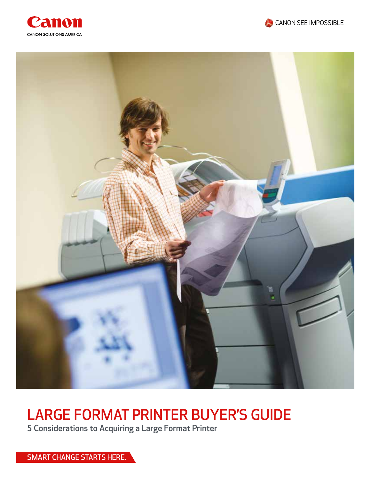





# LARGE FORMAT PRINTER BUYER'S GUIDE

5 Considerations to Acquiring a Large Format Printer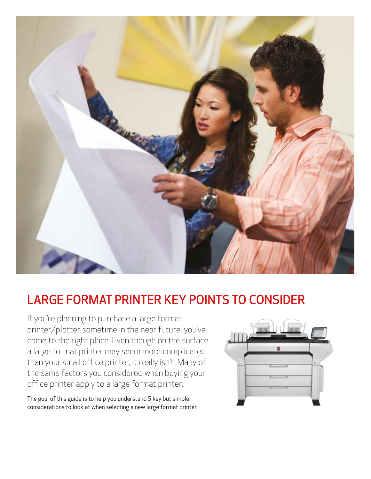

## LARGE FORMAT PRINTER KEY POINTS TO CONSIDER

If you're planning to purchase a large format printer/plotter sometime in the near future, you've come to the right place. Even though on the surface a large format printer may seem more complicated than your small office printer, it really isn't. Many of the same factors you considered when buying your office printer apply to a large format printer.

The goal of this guide is to help you understand 5 key but simple considerations to look at when selecting a new large format printer.

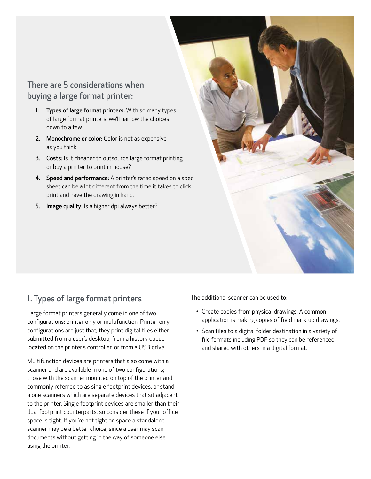## There are 5 considerations when buying a large format printer:

- 1. Types of large format printers: With so many types of large format printers, we'll narrow the choices down to a few.
- 2. Monochrome or color: Color is not as expensive as you think.
- **3.** Costs: Is it cheaper to outsource large format printing or buy a printer to print in-house?
- 4. Speed and performance: A printer's rated speed on a spec sheet can be a lot different from the time it takes to click print and have the drawing in hand.
- 5. Image quality: Is a higher dpi always better?



## 1. Types of large format printers

Large format printers generally come in one of two configurations: printer only or multifunction. Printer only configurations are just that; they print digital files either submitted from a user's desktop, from a history queue located on the printer's controller, or from a USB drive.

Multifunction devices are printers that also come with a scanner and are available in one of two configurations; those with the scanner mounted on top of the printer and commonly referred to as single footprint devices, or stand alone scanners which are separate devices that sit adjacent to the printer. Single footprint devices are smaller than their dual footprint counterparts, so consider these if your office space is tight. If you're not tight on space a standalone scanner may be a better choice, since a user may scan documents without getting in the way of someone else using the printer.

The additional scanner can be used to:

- Create copies from physical drawings. A common application is making copies of field mark-up drawings.
- Scan files to a digital folder destination in a variety of file formats including PDF so they can be referenced and shared with others in a digital format.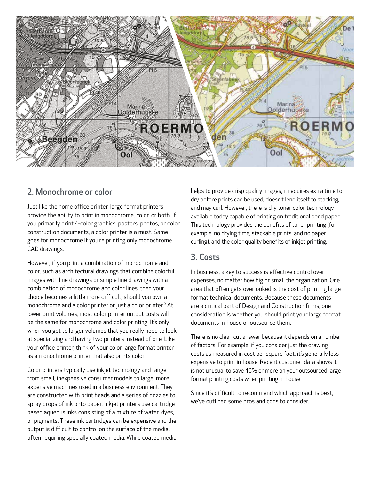

#### 2. Monochrome or color

Just like the home office printer, large format printers provide the ability to print in monochrome, color, or both. If you primarily print 4-color graphics, posters, photos, or color construction documents, a color printer is a must. Same goes for monochrome if you're printing only monochrome CAD drawings.

However, if you print a combination of monochrome and color, such as architectural drawings that combine colorful images with line drawings or simple line drawings with a combination of monochrome and color lines, then your choice becomes a little more difficult; should you own a monochrome and a color printer or just a color printer? At lower print volumes, most color printer output costs will be the same for monochrome and color printing. It's only when you get to larger volumes that you really need to look at specializing and having two printers instead of one. Like your office printer, think of your color large format printer as a monochrome printer that also prints color.

Color printers typically use inkjet technology and range from small, inexpensive consumer models to large, more expensive machines used in a business environment. They are constructed with print heads and a series of nozzles to spray drops of ink onto paper. Inkjet printers use cartridgebased aqueous inks consisting of a mixture of water, dyes, or pigments. These ink cartridges can be expensive and the output is difficult to control on the surface of the media, often requiring specially coated media. While coated media helps to provide crisp quality images, it requires extra time to dry before prints can be used, doesn't lend itself to stacking, and may curl. However, there is dry toner color technology available today capable of printing on traditional bond paper. This technology provides the benefits of toner printing (for example, no drying time, stackable prints, and no paper curling), and the color quality benefits of inkjet printing.

#### 3. Costs

In business, a key to success is effective control over expenses, no matter how big or small the organization. One area that often gets overlooked is the cost of printing large format technical documents. Because these documents are a critical part of Design and Construction firms, one consideration is whether you should print your large format documents in-house or outsource them.

There is no clear-cut answer because it depends on a number of factors. For example, if you consider just the drawing costs as measured in cost per square foot, it's generally less expensive to print in-house. Recent customer data shows it is not unusual to save 46% or more on your outsourced large format printing costs when printing in-house.

Since it's difficult to recommend which approach is best, we've outlined some pros and cons to consider.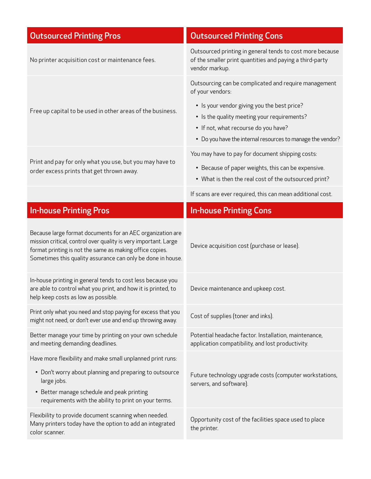| <b>Outsourced Printing Pros</b>                                                                                                                                                                                                                          | <b>Outsourced Printing Cons</b>                                                                                                                                                                  |
|----------------------------------------------------------------------------------------------------------------------------------------------------------------------------------------------------------------------------------------------------------|--------------------------------------------------------------------------------------------------------------------------------------------------------------------------------------------------|
| No printer acquisition cost or maintenance fees.                                                                                                                                                                                                         | Outsourced printing in general tends to cost more because<br>of the smaller print quantities and paying a third-party<br>vendor markup.                                                          |
|                                                                                                                                                                                                                                                          | Outsourcing can be complicated and require management<br>of your vendors:                                                                                                                        |
| Free up capital to be used in other areas of the business.                                                                                                                                                                                               | • Is your vendor giving you the best price?<br>• Is the quality meeting your requirements?<br>• If not, what recourse do you have?<br>• Do you have the internal resources to manage the vendor? |
|                                                                                                                                                                                                                                                          | You may have to pay for document shipping costs:                                                                                                                                                 |
| Print and pay for only what you use, but you may have to<br>order excess prints that get thrown away.                                                                                                                                                    | • Because of paper weights, this can be expensive.<br>• What is then the real cost of the outsourced print?                                                                                      |
|                                                                                                                                                                                                                                                          | If scans are ever required, this can mean additional cost.                                                                                                                                       |
| <b>In-house Printing Pros</b>                                                                                                                                                                                                                            | <b>In-house Printing Cons</b>                                                                                                                                                                    |
| Because large format documents for an AEC organization are<br>mission critical, control over quality is very important. Large<br>format printing is not the same as making office copies.<br>Sometimes this quality assurance can only be done in house. | Device acquisition cost (purchase or lease).                                                                                                                                                     |
| In-house printing in general tends to cost less because you<br>are able to control what you print, and how it is printed, to<br>help keep costs as low as possible.                                                                                      | Device maintenance and upkeep cost.                                                                                                                                                              |
| Print only what you need and stop paying for excess that you<br>might not need, or don't ever use and end up throwing away.                                                                                                                              | Cost of supplies (toner and inks).                                                                                                                                                               |
| Better manage your time by printing on your own schedule<br>and meeting demanding deadlines.                                                                                                                                                             | Potential headache factor. Installation, maintenance,<br>application compatibility, and lost productivity.                                                                                       |
| Have more flexibility and make small unplanned print runs:                                                                                                                                                                                               |                                                                                                                                                                                                  |
| • Don't worry about planning and preparing to outsource<br>large jobs.<br>• Better manage schedule and peak printing<br>requirements with the ability to print on your terms.                                                                            | Future technology upgrade costs (computer workstations,<br>servers, and software).                                                                                                               |
| Flexibility to provide document scanning when needed.<br>Many printers today have the option to add an integrated<br>color scanner.                                                                                                                      | Opportunity cost of the facilities space used to place<br>the printer.                                                                                                                           |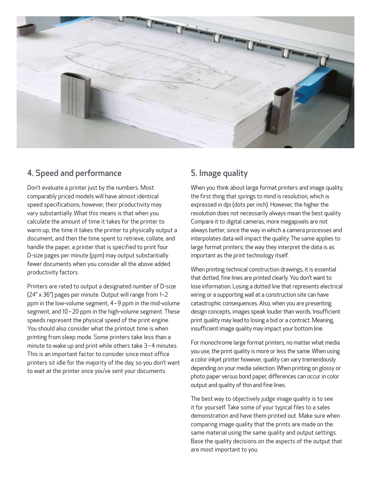

### 4. Speed and performance

Don't evaluate a printer just by the numbers. Most comparably priced models will have almost identical speed specifications; however, their productivity may vary substantially. What this means is that when you calculate the amount of time it takes for the printer to warm up, the time it takes the printer to physically output a document, and then the time spent to retrieve, collate, and handle the paper, a printer that is specified to print four D-size pages per minute (ppm) may output substantially fewer documents when you consider all the above added productivity factors.

Printers are rated to output a designated number of D-size (24" x 36") pages per minute. Output will range from 1–2 ppm in the low-volume segment, 4 – 9 ppm in the mid-volume segment, and 10 – 20 ppm in the high-volume segment. These speeds represent the physical speed of the print engine. You should also consider what the printout time is when printing from sleep mode. Some printers take less than a minute to wake up and print while others take 3-4 minutes. This is an important factor to consider since most office printers sit idle for the majority of the day, so you don't want to wait at the printer once you've sent your documents.

## 5. Image quality

When you think about large format printers and image quality, the first thing that springs to mind is resolution, which is expressed in dpi (dots per inch). However, the higher the resolution does not necessarily always mean the best quality. Compare it to digital cameras; more megapixels are not always better, since the way in which a camera processes and interpolates data will impact the quality. The same applies to large format printers; the way they interpret the data is as important as the print technology itself.

When printing technical construction drawings, it is essential that dotted, fine lines are printed clearly. You don't want to lose information. Losing a dotted line that represents electrical wiring or a supporting wall at a construction site can have catastrophic consequences. Also, when you are presenting design concepts, images speak louder than words. Insufficient print quality may lead to losing a bid or a contract. Meaning, insufficient image quality may impact your bottom line.

For monochrome large format printers, no matter what media you use, the print quality is more or less the same. When using a color inkjet printer however, quality can vary tremendously depending on your media selection. When printing on glossy or photo paper versus bond paper, differences can occur in color output and quality of thin and fine lines.

The best way to objectively judge image quality is to see it for yourself. Take some of your typical files to a sales demonstration and have them printed out. Make sure when comparing image quality that the prints are made on the same material using the same quality and output settings. Base the quality decisions on the aspects of the output that are most important to you.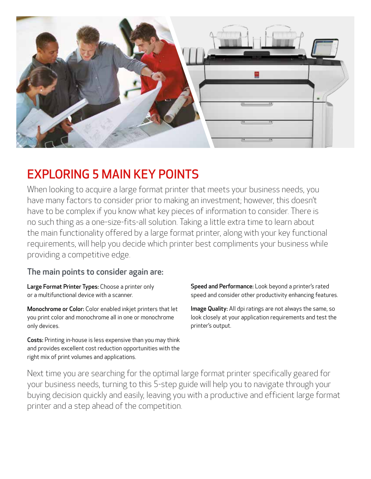

## EXPLORING 5 MAIN KEY POINTS

When looking to acquire a large format printer that meets your business needs, you have many factors to consider prior to making an investment; however, this doesn't have to be complex if you know what key pieces of information to consider. There is no such thing as a one-size-fits-all solution. Taking a little extra time to learn about the main functionality offered by a large format printer, along with your key functional requirements, will help you decide which printer best compliments your business while providing a competitive edge.

## The main points to consider again are:

Large Format Printer Types: Choose a printer only or a multifunctional device with a scanner.

Monochrome or Color: Color enabled inkjet printers that let you print color and monochrome all in one or monochrome only devices.

Costs: Printing in-house is less expensive than you may think and provides excellent cost reduction opportunities with the right mix of print volumes and applications.

Speed and Performance: Look beyond a printer's rated speed and consider other productivity enhancing features.

Image Quality: All dpi ratings are not always the same, so look closely at your application requirements and test the printer's output.

Next time you are searching for the optimal large format printer specifically geared for your business needs, turning to this 5-step guide will help you to navigate through your buying decision quickly and easily, leaving you with a productive and efficient large format printer and a step ahead of the competition.